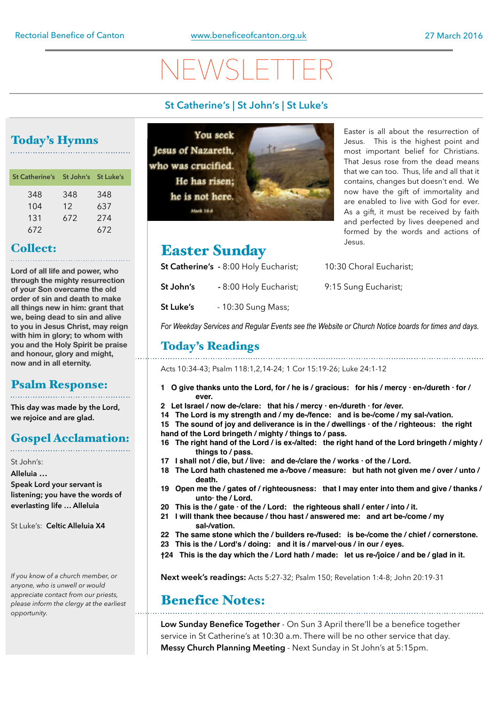# $\setminus$   $\vdash$   $\setminus$   $\land$

#### **St Catherine's | St John's | St Luke's**

## Today's Hymns

| St Catherine's St John's St Luke's |     |     |
|------------------------------------|-----|-----|
| 348                                | 348 | 348 |
| 104                                | 12  | 637 |
| 131                                | 672 | 274 |
| 672                                |     | 672 |

### Collect:

**Lord of all life and power, who through the mighty resurrection of your Son overcame the old order of sin and death to make all things new in him: grant that we, being dead to sin and alive to you in Jesus Christ, may reign with him in glory; to whom with you and the Holy Spirit be praise and honour, glory and might, now and in all eternity.**

### Psalm Response:

**This day was made by the Lord, we rejoice and are glad.** 

## Gospel Acclamation:

St John's:

**Alleluia … Speak Lord your servant is listening; you have the words of everlasting life … Alleluia** 

St Luke's: **Celtic Alleluia X4**

*If you know of a church member, or anyone, who is unwell or would appreciate contact from our priests, please inform the clergy at the earliest opportunity.* 

**You seek** Jesus of Nazareth, who was crucified. He has risen; he is not here. Mark 14.4



## Easter Sunday

**St Catherine's** - 8:00 Holy Eucharist; 10:30 Choral Eucharist;

- **St John's** 8:00 Holy Eucharist; 9:15 Sung Eucharist;
- **St Luke's**  10:30 Sung Mass;

*For Weekday Services and Regular Events see the Website or Church Notice boards for times and days.* 

### Today's Readings

Acts 10:34-43; Psalm 118:1,2,14-24; 1 Cor 15:19-26; Luke 24:1-12

- **1 O give thanks unto the Lord, for / he is / gracious: for his / mercy · en-/dureth · for / ever.**
- **2 Let Israel / now de-/clare: that his / mercy · en-/dureth · for /ever.**
- **14 The Lord is my strength and / my de-/fence: and is be-/come / my sal-/vation.**
- **15 The sound of joy and deliverance is in the / dwellings · of the / righteous: the right hand of the Lord bringeth / mighty / things to / pass.**
- **16 The right hand of the Lord / is ex-/alted: the right hand of the Lord bringeth / mighty / things to / pass.**
- **17 I shall not / die, but / live: and de-/clare the / works · of the / Lord.**
- **18 The Lord hath chastened me a-/bove / measure: but hath not given me / over / unto / death.**
- **19 Open me the / gates of / righteousness: that I may enter into them and give / thanks / unto· the / Lord.**
- **20 This is the / gate · of the / Lord: the righteous shall / enter / into / it.**
- **21 I will thank thee because / thou hast / answered me: and art be-/come / my sal-/vation.**
- **22 The same stone which the / builders re-/fused: is be-/come the / chief / cornerstone.**
- **23 This is the / Lord's / doing: and it is / marvel·ous / in our / eyes.**
- **†24 This is the day which the / Lord hath / made: let us re-/joice / and be / glad in it.**

**Next week's readings:** Acts 5:27-32; Psalm 150; Revelation 1:4-8; John 20:19-31

### Benefice Notes:

**Low Sunday Benefice Together** - On Sun 3 April there'll be a benefice together service in St Catherine's at 10:30 a.m. There will be no other service that day. **Messy Church Planning Meeting** - Next Sunday in St John's at 5:15pm.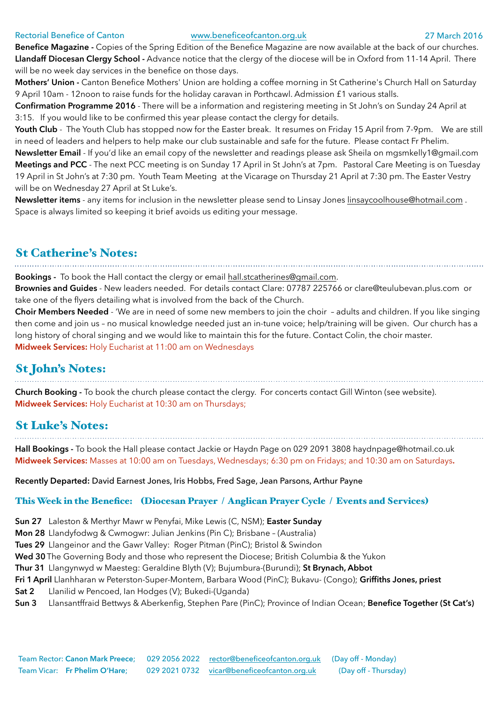#### Rectorial Benefice of Canton [www.beneficeofcanton.org.uk](http://www.beneficeofcanton.org.uk) 27 March 2016

**Benefice Magazine -** Copies of the Spring Edition of the Benefice Magazine are now available at the back of our churches. **Llandaff Diocesan Clergy School -** Advance notice that the clergy of the diocese will be in Oxford from 11-14 April. There will be no week day services in the benefice on those days.

**Mothers' Union -** Canton Benefice Mothers' Union are holding a coffee morning in St Catherine's Church Hall on Saturday 9 April 10am - 12noon to raise funds for the holiday caravan in Porthcawl. Admission £1 various stalls.

**Confirmation Programme 2016** - There will be a information and registering meeting in St John's on Sunday 24 April at 3:15. If you would like to be confirmed this year please contact the clergy for details.

**Youth Club** - The Youth Club has stopped now for the Easter break. It resumes on Friday 15 April from 7-9pm. We are still in need of leaders and helpers to help make our club sustainable and safe for the future. Please contact Fr Phelim.

**Newsletter Email** - If you'd like an email copy of the newsletter and readings please ask Sheila on [mgsmkelly1@gmail.com](mailto:mgsmkelly1@gmail.com)  **Meetings and PCC** - The next PCC meeting is on Sunday 17 April in St John's at 7pm. Pastoral Care Meeting is on Tuesday 19 April in St John's at 7:30 pm. Youth Team Meeting at the Vicarage on Thursday 21 April at 7:30 pm. The Easter Vestry will be on Wednesday 27 April at St Luke's.

**Newsletter items** - any items for inclusion in the newsletter please send to Linsay Jones [linsaycoolhouse@hotmail.com](mailto:linsaycoolhouse@hotmail.com) . Space is always limited so keeping it brief avoids us editing your message.

#### St Catherine's Notes:

**Bookings -** To book the Hall contact the clergy or email [hall.stcatherines@gmail.com.](mailto:hall.stcatherines@gmail.com)

**Brownies and Guides** - New leaders needed. For details contact Clare: 07787 225766 or [clare@teulubevan.plus.com](mailto:clare@teulubevan.plus.com) or take one of the flyers detailing what is involved from the back of the Church.

**Choir Members Needed** - 'We are in need of some new members to join the choir – adults and children. If you like singing then come and join us – no musical knowledge needed just an in-tune voice; help/training will be given. Our church has a long history of choral singing and we would like to maintain this for the future. Contact Colin, the choir master. **Midweek Services:** Holy Eucharist at 11:00 am on Wednesdays

## St John's Notes:

**Church Booking -** To book the church please contact the clergy. For concerts contact Gill Winton (see website). **Midweek Services:** Holy Eucharist at 10:30 am on Thursdays;

#### St Luke's Notes:

**Hall Bookings -** To book the Hall please contact Jackie or Haydn Page on 029 2091 3808 [haydnpage@hotmail.co.uk](mailto:haydnpage@hotmail.co.uk) **Midweek Services:** Masses at 10:00 am on Tuesdays, Wednesdays; 6:30 pm on Fridays; and 10:30 am on Saturdays**.**

**Recently Departed:** David Earnest Jones, Iris Hobbs, Fred Sage, Jean Parsons, Arthur Payne

#### This Week in the Benefice: (Diocesan Prayer / Anglican Prayer Cycle / Events and Services)

**Sun 27** Laleston & Merthyr Mawr w Penyfai, Mike Lewis (C, NSM); **Easter Sunday**

**Mon 28** Llandyfodwg & Cwmogwr: Julian Jenkins (Pin C); Brisbane – (Australia)

**Tues 29** Llangeinor and the Gawr Valley: Roger Pitman (PinC); Bristol & Swindon

**Wed 30**The Governing Body and those who represent the Diocese; British Columbia & the Yukon

**Thur 31** Llangynwyd w Maesteg: Geraldine Blyth (V); Bujumbura-(Burundi); **St Brynach, Abbot**

- **Fri 1 April** Llanhharan w Peterston-Super-Montem, Barbara Wood (PinC); Bukavu- (Congo); **Griffiths Jones, priest**
- **Sat 2** Llanilid w Pencoed, Ian Hodges (V); Bukedi-(Uganda)
- **Sun 3** Llansantffraid Bettwys & Aberkenfig, Stephen Pare (PinC); Province of Indian Ocean; **Benefice Together (St Cat's)**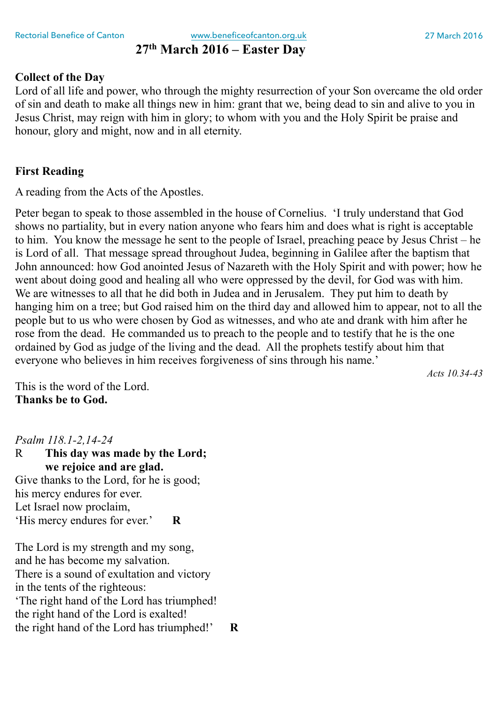### **27th March 2016 – Easter Day**

#### **Collect of the Day**

Lord of all life and power, who through the mighty resurrection of your Son overcame the old order of sin and death to make all things new in him: grant that we, being dead to sin and alive to you in Jesus Christ, may reign with him in glory; to whom with you and the Holy Spirit be praise and honour, glory and might, now and in all eternity.

#### **First Reading**

A reading from the Acts of the Apostles.

Peter began to speak to those assembled in the house of Cornelius. 'I truly understand that God shows no partiality, but in every nation anyone who fears him and does what is right is acceptable to him. You know the message he sent to the people of Israel, preaching peace by Jesus Christ – he is Lord of all. That message spread throughout Judea, beginning in Galilee after the baptism that John announced: how God anointed Jesus of Nazareth with the Holy Spirit and with power; how he went about doing good and healing all who were oppressed by the devil, for God was with him. We are witnesses to all that he did both in Judea and in Jerusalem. They put him to death by hanging him on a tree; but God raised him on the third day and allowed him to appear, not to all the people but to us who were chosen by God as witnesses, and who ate and drank with him after he rose from the dead. He commanded us to preach to the people and to testify that he is the one ordained by God as judge of the living and the dead. All the prophets testify about him that everyone who believes in him receives forgiveness of sins through his name.'

*Acts 10.34-43* 

This is the word of the Lord. **Thanks be to God.** 

*Psalm 118.1-2,14-24* 

R **This day was made by the Lord; we rejoice and are glad.**  Give thanks to the Lord, for he is good; his mercy endures for ever. Let Israel now proclaim, 'His mercy endures for ever.' **R** 

The Lord is my strength and my song, and he has become my salvation. There is a sound of exultation and victory in the tents of the righteous: 'The right hand of the Lord has triumphed! the right hand of the Lord is exalted! the right hand of the Lord has triumphed!' **R**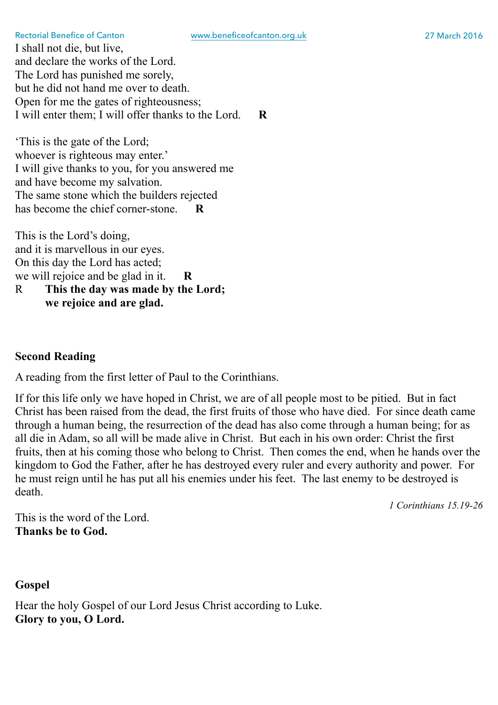I shall not die, but live, and declare the works of the Lord. The Lord has punished me sorely, but he did not hand me over to death. Open for me the gates of righteousness; I will enter them; I will offer thanks to the Lord. **R** 

'This is the gate of the Lord; whoever is righteous may enter.' I will give thanks to you, for you answered me and have become my salvation. The same stone which the builders rejected has become the chief corner-stone. **R** 

This is the Lord's doing, and it is marvellous in our eyes. On this day the Lord has acted; we will rejoice and be glad in it. **R**  R **This the day was made by the Lord; we rejoice and are glad.** 

#### **Second Reading**

A reading from the first letter of Paul to the Corinthians.

If for this life only we have hoped in Christ, we are of all people most to be pitied. But in fact Christ has been raised from the dead, the first fruits of those who have died. For since death came through a human being, the resurrection of the dead has also come through a human being; for as all die in Adam, so all will be made alive in Christ. But each in his own order: Christ the first fruits, then at his coming those who belong to Christ. Then comes the end, when he hands over the kingdom to God the Father, after he has destroyed every ruler and every authority and power. For he must reign until he has put all his enemies under his feet. The last enemy to be destroyed is death.

*1 Corinthians 15.19-26* 

This is the word of the Lord. **Thanks be to God.**

**Gospel** 

Hear the holy Gospel of our Lord Jesus Christ according to Luke. **Glory to you, O Lord.**